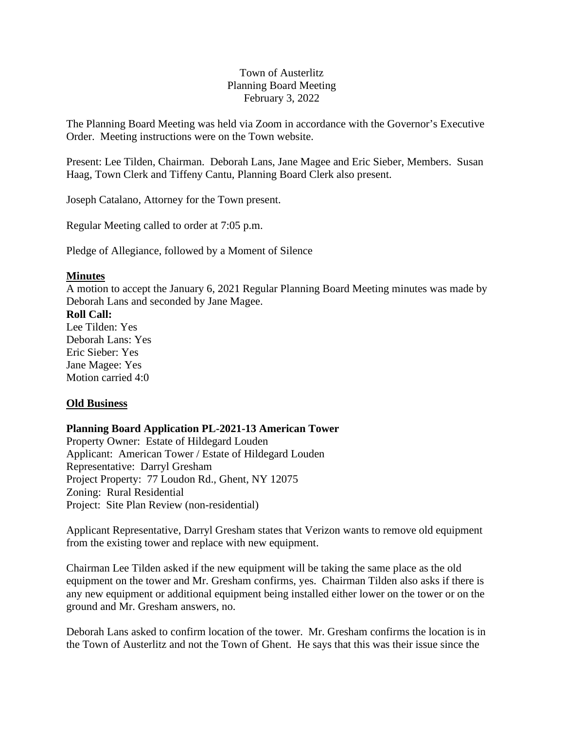## Town of Austerlitz Planning Board Meeting February 3, 2022

The Planning Board Meeting was held via Zoom in accordance with the Governor's Executive Order. Meeting instructions were on the Town website.

Present: Lee Tilden, Chairman. Deborah Lans, Jane Magee and Eric Sieber, Members. Susan Haag, Town Clerk and Tiffeny Cantu, Planning Board Clerk also present.

Joseph Catalano, Attorney for the Town present.

Regular Meeting called to order at 7:05 p.m.

Pledge of Allegiance, followed by a Moment of Silence

#### **Minutes**

A motion to accept the January 6, 2021 Regular Planning Board Meeting minutes was made by Deborah Lans and seconded by Jane Magee.

#### **Roll Call:**

Lee Tilden: Yes Deborah Lans: Yes Eric Sieber: Yes Jane Magee: Yes Motion carried 4:0

#### **Old Business**

# **Planning Board Application PL-2021-13 American Tower**

Property Owner: Estate of Hildegard Louden Applicant: American Tower / Estate of Hildegard Louden Representative: Darryl Gresham Project Property: 77 Loudon Rd., Ghent, NY 12075 Zoning: Rural Residential Project: Site Plan Review (non-residential)

Applicant Representative, Darryl Gresham states that Verizon wants to remove old equipment from the existing tower and replace with new equipment.

Chairman Lee Tilden asked if the new equipment will be taking the same place as the old equipment on the tower and Mr. Gresham confirms, yes. Chairman Tilden also asks if there is any new equipment or additional equipment being installed either lower on the tower or on the ground and Mr. Gresham answers, no.

Deborah Lans asked to confirm location of the tower. Mr. Gresham confirms the location is in the Town of Austerlitz and not the Town of Ghent. He says that this was their issue since the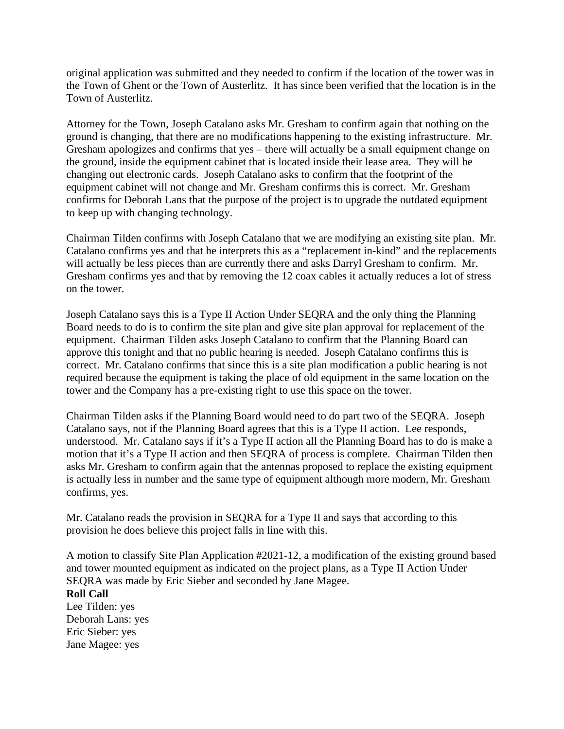original application was submitted and they needed to confirm if the location of the tower was in the Town of Ghent or the Town of Austerlitz. It has since been verified that the location is in the Town of Austerlitz.

Attorney for the Town, Joseph Catalano asks Mr. Gresham to confirm again that nothing on the ground is changing, that there are no modifications happening to the existing infrastructure. Mr. Gresham apologizes and confirms that yes – there will actually be a small equipment change on the ground, inside the equipment cabinet that is located inside their lease area. They will be changing out electronic cards. Joseph Catalano asks to confirm that the footprint of the equipment cabinet will not change and Mr. Gresham confirms this is correct. Mr. Gresham confirms for Deborah Lans that the purpose of the project is to upgrade the outdated equipment to keep up with changing technology.

Chairman Tilden confirms with Joseph Catalano that we are modifying an existing site plan. Mr. Catalano confirms yes and that he interprets this as a "replacement in-kind" and the replacements will actually be less pieces than are currently there and asks Darryl Gresham to confirm. Mr. Gresham confirms yes and that by removing the 12 coax cables it actually reduces a lot of stress on the tower.

Joseph Catalano says this is a Type II Action Under SEQRA and the only thing the Planning Board needs to do is to confirm the site plan and give site plan approval for replacement of the equipment. Chairman Tilden asks Joseph Catalano to confirm that the Planning Board can approve this tonight and that no public hearing is needed. Joseph Catalano confirms this is correct. Mr. Catalano confirms that since this is a site plan modification a public hearing is not required because the equipment is taking the place of old equipment in the same location on the tower and the Company has a pre-existing right to use this space on the tower.

Chairman Tilden asks if the Planning Board would need to do part two of the SEQRA. Joseph Catalano says, not if the Planning Board agrees that this is a Type II action. Lee responds, understood. Mr. Catalano says if it's a Type II action all the Planning Board has to do is make a motion that it's a Type II action and then SEQRA of process is complete. Chairman Tilden then asks Mr. Gresham to confirm again that the antennas proposed to replace the existing equipment is actually less in number and the same type of equipment although more modern, Mr. Gresham confirms, yes.

Mr. Catalano reads the provision in SEQRA for a Type II and says that according to this provision he does believe this project falls in line with this.

A motion to classify Site Plan Application #2021-12, a modification of the existing ground based and tower mounted equipment as indicated on the project plans, as a Type II Action Under SEQRA was made by Eric Sieber and seconded by Jane Magee. **Roll Call**  Lee Tilden: yes Deborah Lans: yes Eric Sieber: yes Jane Magee: yes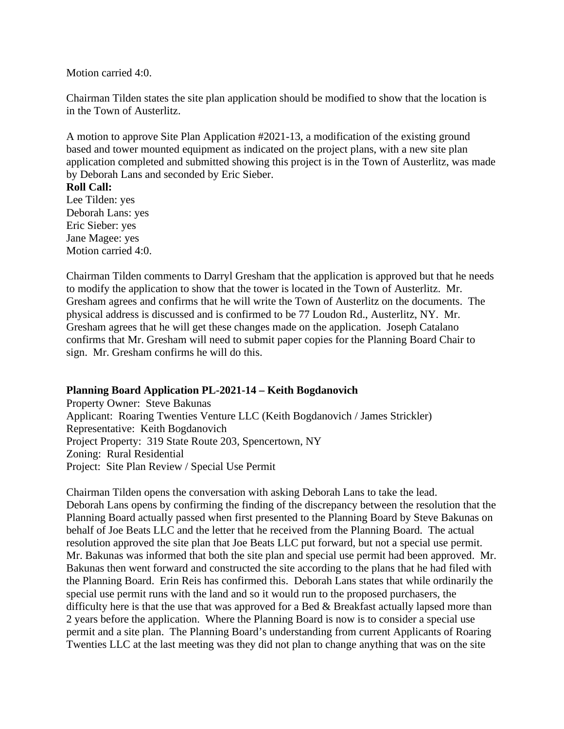Motion carried 4:0.

Chairman Tilden states the site plan application should be modified to show that the location is in the Town of Austerlitz.

A motion to approve Site Plan Application #2021-13, a modification of the existing ground based and tower mounted equipment as indicated on the project plans, with a new site plan application completed and submitted showing this project is in the Town of Austerlitz, was made by Deborah Lans and seconded by Eric Sieber.

#### **Roll Call:**

Lee Tilden: yes Deborah Lans: yes Eric Sieber: yes Jane Magee: yes Motion carried 4:0.

Chairman Tilden comments to Darryl Gresham that the application is approved but that he needs to modify the application to show that the tower is located in the Town of Austerlitz. Mr. Gresham agrees and confirms that he will write the Town of Austerlitz on the documents. The physical address is discussed and is confirmed to be 77 Loudon Rd., Austerlitz, NY. Mr. Gresham agrees that he will get these changes made on the application. Joseph Catalano confirms that Mr. Gresham will need to submit paper copies for the Planning Board Chair to sign. Mr. Gresham confirms he will do this.

#### **Planning Board Application PL-2021-14 – Keith Bogdanovich**

Property Owner: Steve Bakunas Applicant: Roaring Twenties Venture LLC (Keith Bogdanovich / James Strickler) Representative: Keith Bogdanovich Project Property: 319 State Route 203, Spencertown, NY Zoning: Rural Residential Project: Site Plan Review / Special Use Permit

Chairman Tilden opens the conversation with asking Deborah Lans to take the lead. Deborah Lans opens by confirming the finding of the discrepancy between the resolution that the Planning Board actually passed when first presented to the Planning Board by Steve Bakunas on behalf of Joe Beats LLC and the letter that he received from the Planning Board. The actual resolution approved the site plan that Joe Beats LLC put forward, but not a special use permit. Mr. Bakunas was informed that both the site plan and special use permit had been approved. Mr. Bakunas then went forward and constructed the site according to the plans that he had filed with the Planning Board. Erin Reis has confirmed this. Deborah Lans states that while ordinarily the special use permit runs with the land and so it would run to the proposed purchasers, the difficulty here is that the use that was approved for a Bed & Breakfast actually lapsed more than 2 years before the application. Where the Planning Board is now is to consider a special use permit and a site plan. The Planning Board's understanding from current Applicants of Roaring Twenties LLC at the last meeting was they did not plan to change anything that was on the site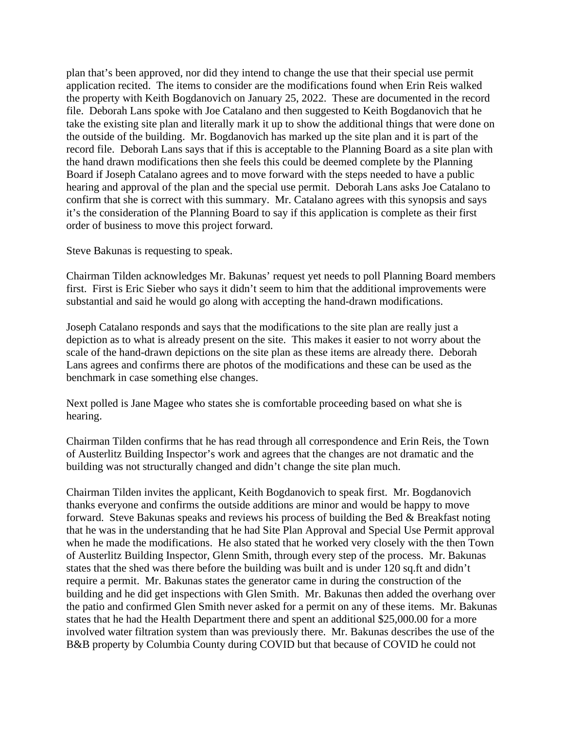plan that's been approved, nor did they intend to change the use that their special use permit application recited. The items to consider are the modifications found when Erin Reis walked the property with Keith Bogdanovich on January 25, 2022. These are documented in the record file. Deborah Lans spoke with Joe Catalano and then suggested to Keith Bogdanovich that he take the existing site plan and literally mark it up to show the additional things that were done on the outside of the building. Mr. Bogdanovich has marked up the site plan and it is part of the record file. Deborah Lans says that if this is acceptable to the Planning Board as a site plan with the hand drawn modifications then she feels this could be deemed complete by the Planning Board if Joseph Catalano agrees and to move forward with the steps needed to have a public hearing and approval of the plan and the special use permit. Deborah Lans asks Joe Catalano to confirm that she is correct with this summary. Mr. Catalano agrees with this synopsis and says it's the consideration of the Planning Board to say if this application is complete as their first order of business to move this project forward.

Steve Bakunas is requesting to speak.

Chairman Tilden acknowledges Mr. Bakunas' request yet needs to poll Planning Board members first. First is Eric Sieber who says it didn't seem to him that the additional improvements were substantial and said he would go along with accepting the hand-drawn modifications.

Joseph Catalano responds and says that the modifications to the site plan are really just a depiction as to what is already present on the site. This makes it easier to not worry about the scale of the hand-drawn depictions on the site plan as these items are already there. Deborah Lans agrees and confirms there are photos of the modifications and these can be used as the benchmark in case something else changes.

Next polled is Jane Magee who states she is comfortable proceeding based on what she is hearing.

Chairman Tilden confirms that he has read through all correspondence and Erin Reis, the Town of Austerlitz Building Inspector's work and agrees that the changes are not dramatic and the building was not structurally changed and didn't change the site plan much.

Chairman Tilden invites the applicant, Keith Bogdanovich to speak first. Mr. Bogdanovich thanks everyone and confirms the outside additions are minor and would be happy to move forward. Steve Bakunas speaks and reviews his process of building the Bed & Breakfast noting that he was in the understanding that he had Site Plan Approval and Special Use Permit approval when he made the modifications. He also stated that he worked very closely with the then Town of Austerlitz Building Inspector, Glenn Smith, through every step of the process. Mr. Bakunas states that the shed was there before the building was built and is under 120 sq.ft and didn't require a permit. Mr. Bakunas states the generator came in during the construction of the building and he did get inspections with Glen Smith. Mr. Bakunas then added the overhang over the patio and confirmed Glen Smith never asked for a permit on any of these items. Mr. Bakunas states that he had the Health Department there and spent an additional \$25,000.00 for a more involved water filtration system than was previously there. Mr. Bakunas describes the use of the B&B property by Columbia County during COVID but that because of COVID he could not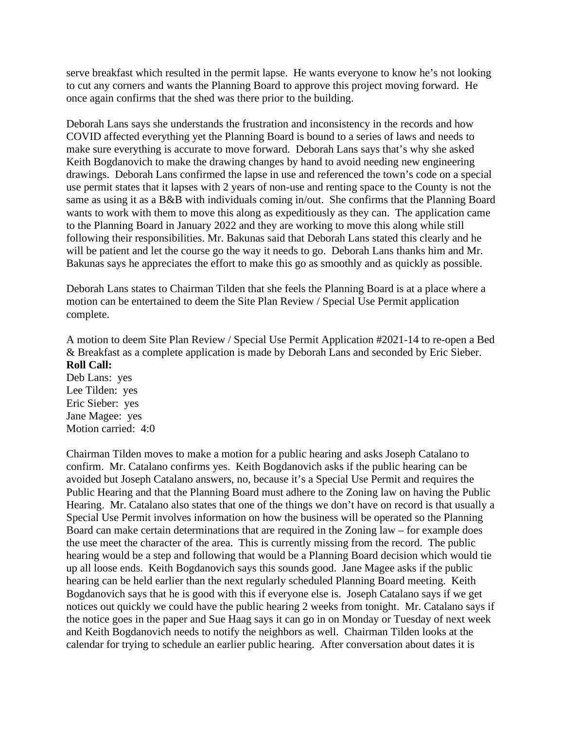serve breakfast which resulted in the permit lapse. He wants everyone to know he's not looking to cut any corners and wants the Planning Board to approve this project moving forward. He once again confirms that the shed was there prior to the building.

Deborah Lans says she understands the frustration and inconsistency in the records and how COVID affected everything yet the Planning Board is bound to a series of laws and needs to make sure everything is accurate to move forward. Deborah Lans says that's why she asked Keith Bogdanovich to make the drawing changes by hand to avoid needing new engineering drawings. Deborah Lans confirmed the lapse in use and referenced the town's code on a special use permit states that it lapses with 2 years of non-use and renting space to the County is not the same as using it as a B&B with individuals coming in/out. She confirms that the Planning Board wants to work with them to move this along as expeditiously as they can. The application came to the Planning Board in January 2022 and they are working to move this along while still following their responsibilities. Mr. Bakunas said that Deborah Lans stated this clearly and he will be patient and let the course go the way it needs to go. Deborah Lans thanks him and Mr. Bakunas says he appreciates the effort to make this go as smoothly and as quickly as possible.

Deborah Lans states to Chairman Tilden that she feels the Planning Board is at a place where a motion can be entertained to deem the Site Plan Review / Special Use Permit application complete.

A motion to deem Site Plan Review / Special Use Permit Application #2021-14 to re-open a Bed & Breakfast as a complete application is made by Deborah Lans and seconded by Eric Sieber. **Roll Call:** 

Deb Lans: yes Lee Tilden: yes Eric Sieber: yes Jane Magee: yes Motion carried: 4:0

Chairman Tilden moves to make a motion for a public hearing and asks Joseph Catalano to confirm. Mr. Catalano confirms yes. Keith Bogdanovich asks if the public hearing can be avoided but Joseph Catalano answers, no, because it's a Special Use Permit and requires the Public Hearing and that the Planning Board must adhere to the Zoning law on having the Public Hearing. Mr. Catalano also states that one of the things we don't have on record is that usually a Special Use Permit involves information on how the business will be operated so the Planning Board can make certain determinations that are required in the Zoning law – for example does the use meet the character of the area. This is currently missing from the record. The public hearing would be a step and following that would be a Planning Board decision which would tie up all loose ends. Keith Bogdanovich says this sounds good. Jane Magee asks if the public hearing can be held earlier than the next regularly scheduled Planning Board meeting. Keith Bogdanovich says that he is good with this if everyone else is. Joseph Catalano says if we get notices out quickly we could have the public hearing 2 weeks from tonight. Mr. Catalano says if the notice goes in the paper and Sue Haag says it can go in on Monday or Tuesday of next week and Keith Bogdanovich needs to notify the neighbors as well. Chairman Tilden looks at the calendar for trying to schedule an earlier public hearing. After conversation about dates it is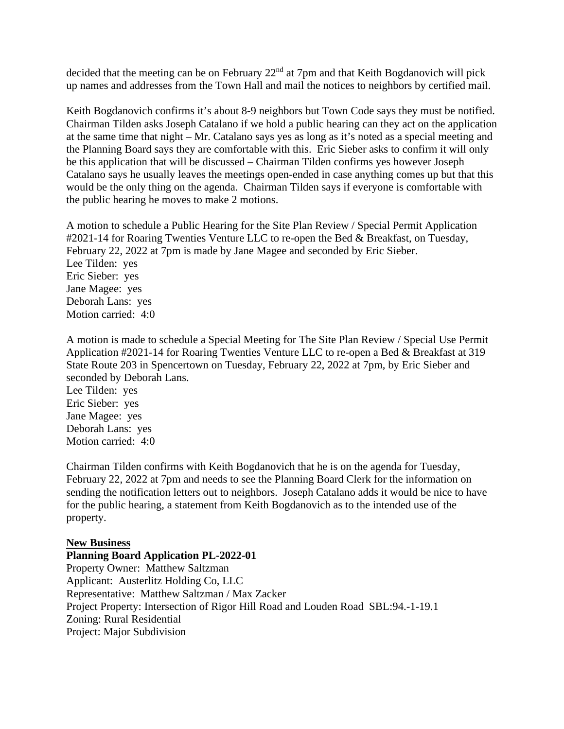decided that the meeting can be on February 22<sup>nd</sup> at 7pm and that Keith Bogdanovich will pick up names and addresses from the Town Hall and mail the notices to neighbors by certified mail.

Keith Bogdanovich confirms it's about 8-9 neighbors but Town Code says they must be notified. Chairman Tilden asks Joseph Catalano if we hold a public hearing can they act on the application at the same time that night – Mr. Catalano says yes as long as it's noted as a special meeting and the Planning Board says they are comfortable with this. Eric Sieber asks to confirm it will only be this application that will be discussed – Chairman Tilden confirms yes however Joseph Catalano says he usually leaves the meetings open-ended in case anything comes up but that this would be the only thing on the agenda. Chairman Tilden says if everyone is comfortable with the public hearing he moves to make 2 motions.

A motion to schedule a Public Hearing for the Site Plan Review / Special Permit Application #2021-14 for Roaring Twenties Venture LLC to re-open the Bed & Breakfast, on Tuesday, February 22, 2022 at 7pm is made by Jane Magee and seconded by Eric Sieber. Lee Tilden: yes Eric Sieber: yes Jane Magee: yes Deborah Lans: yes Motion carried: 4:0

A motion is made to schedule a Special Meeting for The Site Plan Review / Special Use Permit Application #2021-14 for Roaring Twenties Venture LLC to re-open a Bed & Breakfast at 319 State Route 203 in Spencertown on Tuesday, February 22, 2022 at 7pm, by Eric Sieber and seconded by Deborah Lans.

Lee Tilden: yes Eric Sieber: yes Jane Magee: yes Deborah Lans: yes Motion carried: 4:0

Chairman Tilden confirms with Keith Bogdanovich that he is on the agenda for Tuesday, February 22, 2022 at 7pm and needs to see the Planning Board Clerk for the information on sending the notification letters out to neighbors. Joseph Catalano adds it would be nice to have for the public hearing, a statement from Keith Bogdanovich as to the intended use of the property.

#### **New Business**

**Planning Board Application PL-2022-01** Property Owner: Matthew Saltzman Applicant: Austerlitz Holding Co, LLC Representative: Matthew Saltzman / Max Zacker Project Property: Intersection of Rigor Hill Road and Louden Road SBL:94.-1-19.1 Zoning: Rural Residential Project: Major Subdivision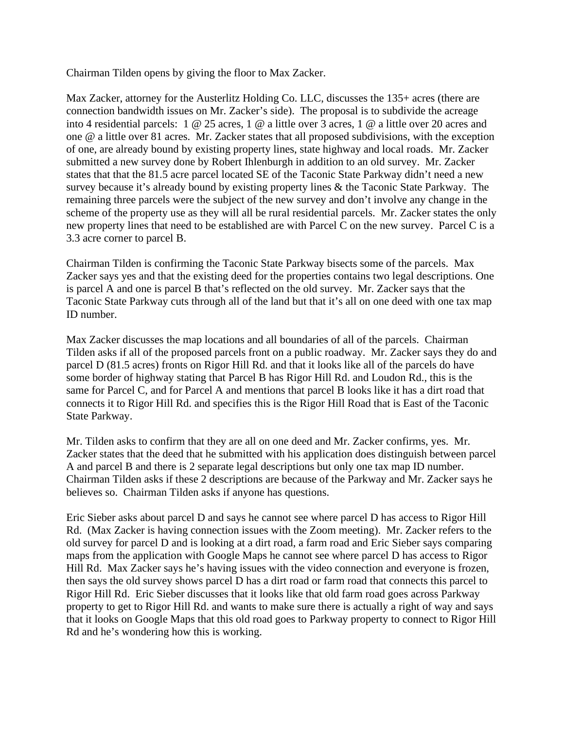Chairman Tilden opens by giving the floor to Max Zacker.

Max Zacker, attorney for the Austerlitz Holding Co. LLC, discusses the 135+ acres (there are connection bandwidth issues on Mr. Zacker's side). The proposal is to subdivide the acreage into 4 residential parcels: 1 @ 25 acres, 1 @ a little over 3 acres, 1 @ a little over 20 acres and one @ a little over 81 acres. Mr. Zacker states that all proposed subdivisions, with the exception of one, are already bound by existing property lines, state highway and local roads. Mr. Zacker submitted a new survey done by Robert Ihlenburgh in addition to an old survey. Mr. Zacker states that that the 81.5 acre parcel located SE of the Taconic State Parkway didn't need a new survey because it's already bound by existing property lines & the Taconic State Parkway. The remaining three parcels were the subject of the new survey and don't involve any change in the scheme of the property use as they will all be rural residential parcels. Mr. Zacker states the only new property lines that need to be established are with Parcel C on the new survey. Parcel C is a 3.3 acre corner to parcel B.

Chairman Tilden is confirming the Taconic State Parkway bisects some of the parcels. Max Zacker says yes and that the existing deed for the properties contains two legal descriptions. One is parcel A and one is parcel B that's reflected on the old survey. Mr. Zacker says that the Taconic State Parkway cuts through all of the land but that it's all on one deed with one tax map ID number.

Max Zacker discusses the map locations and all boundaries of all of the parcels. Chairman Tilden asks if all of the proposed parcels front on a public roadway. Mr. Zacker says they do and parcel D (81.5 acres) fronts on Rigor Hill Rd. and that it looks like all of the parcels do have some border of highway stating that Parcel B has Rigor Hill Rd. and Loudon Rd., this is the same for Parcel C, and for Parcel A and mentions that parcel B looks like it has a dirt road that connects it to Rigor Hill Rd. and specifies this is the Rigor Hill Road that is East of the Taconic State Parkway.

Mr. Tilden asks to confirm that they are all on one deed and Mr. Zacker confirms, yes. Mr. Zacker states that the deed that he submitted with his application does distinguish between parcel A and parcel B and there is 2 separate legal descriptions but only one tax map ID number. Chairman Tilden asks if these 2 descriptions are because of the Parkway and Mr. Zacker says he believes so. Chairman Tilden asks if anyone has questions.

Eric Sieber asks about parcel D and says he cannot see where parcel D has access to Rigor Hill Rd. (Max Zacker is having connection issues with the Zoom meeting). Mr. Zacker refers to the old survey for parcel D and is looking at a dirt road, a farm road and Eric Sieber says comparing maps from the application with Google Maps he cannot see where parcel D has access to Rigor Hill Rd. Max Zacker says he's having issues with the video connection and everyone is frozen, then says the old survey shows parcel D has a dirt road or farm road that connects this parcel to Rigor Hill Rd. Eric Sieber discusses that it looks like that old farm road goes across Parkway property to get to Rigor Hill Rd. and wants to make sure there is actually a right of way and says that it looks on Google Maps that this old road goes to Parkway property to connect to Rigor Hill Rd and he's wondering how this is working.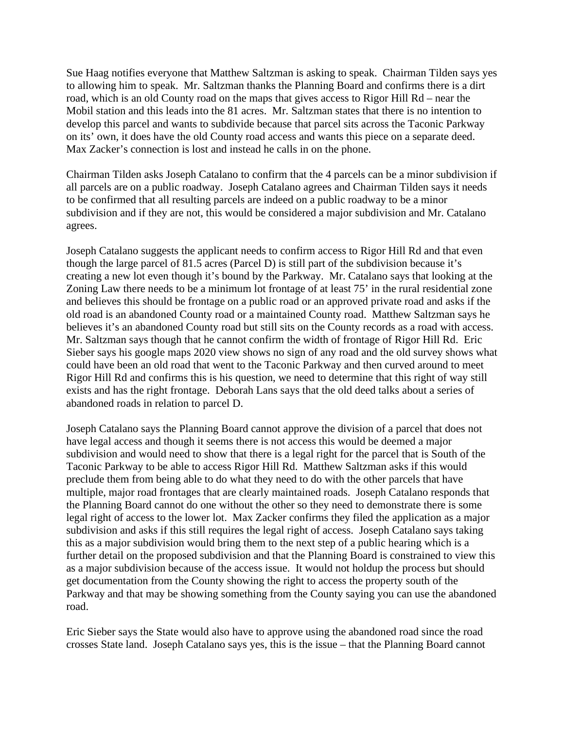Sue Haag notifies everyone that Matthew Saltzman is asking to speak. Chairman Tilden says yes to allowing him to speak. Mr. Saltzman thanks the Planning Board and confirms there is a dirt road, which is an old County road on the maps that gives access to Rigor Hill Rd – near the Mobil station and this leads into the 81 acres. Mr. Saltzman states that there is no intention to develop this parcel and wants to subdivide because that parcel sits across the Taconic Parkway on its' own, it does have the old County road access and wants this piece on a separate deed. Max Zacker's connection is lost and instead he calls in on the phone.

Chairman Tilden asks Joseph Catalano to confirm that the 4 parcels can be a minor subdivision if all parcels are on a public roadway. Joseph Catalano agrees and Chairman Tilden says it needs to be confirmed that all resulting parcels are indeed on a public roadway to be a minor subdivision and if they are not, this would be considered a major subdivision and Mr. Catalano agrees.

Joseph Catalano suggests the applicant needs to confirm access to Rigor Hill Rd and that even though the large parcel of 81.5 acres (Parcel D) is still part of the subdivision because it's creating a new lot even though it's bound by the Parkway. Mr. Catalano says that looking at the Zoning Law there needs to be a minimum lot frontage of at least 75' in the rural residential zone and believes this should be frontage on a public road or an approved private road and asks if the old road is an abandoned County road or a maintained County road. Matthew Saltzman says he believes it's an abandoned County road but still sits on the County records as a road with access. Mr. Saltzman says though that he cannot confirm the width of frontage of Rigor Hill Rd. Eric Sieber says his google maps 2020 view shows no sign of any road and the old survey shows what could have been an old road that went to the Taconic Parkway and then curved around to meet Rigor Hill Rd and confirms this is his question, we need to determine that this right of way still exists and has the right frontage. Deborah Lans says that the old deed talks about a series of abandoned roads in relation to parcel D.

Joseph Catalano says the Planning Board cannot approve the division of a parcel that does not have legal access and though it seems there is not access this would be deemed a major subdivision and would need to show that there is a legal right for the parcel that is South of the Taconic Parkway to be able to access Rigor Hill Rd. Matthew Saltzman asks if this would preclude them from being able to do what they need to do with the other parcels that have multiple, major road frontages that are clearly maintained roads. Joseph Catalano responds that the Planning Board cannot do one without the other so they need to demonstrate there is some legal right of access to the lower lot. Max Zacker confirms they filed the application as a major subdivision and asks if this still requires the legal right of access. Joseph Catalano says taking this as a major subdivision would bring them to the next step of a public hearing which is a further detail on the proposed subdivision and that the Planning Board is constrained to view this as a major subdivision because of the access issue. It would not holdup the process but should get documentation from the County showing the right to access the property south of the Parkway and that may be showing something from the County saying you can use the abandoned road.

Eric Sieber says the State would also have to approve using the abandoned road since the road crosses State land. Joseph Catalano says yes, this is the issue – that the Planning Board cannot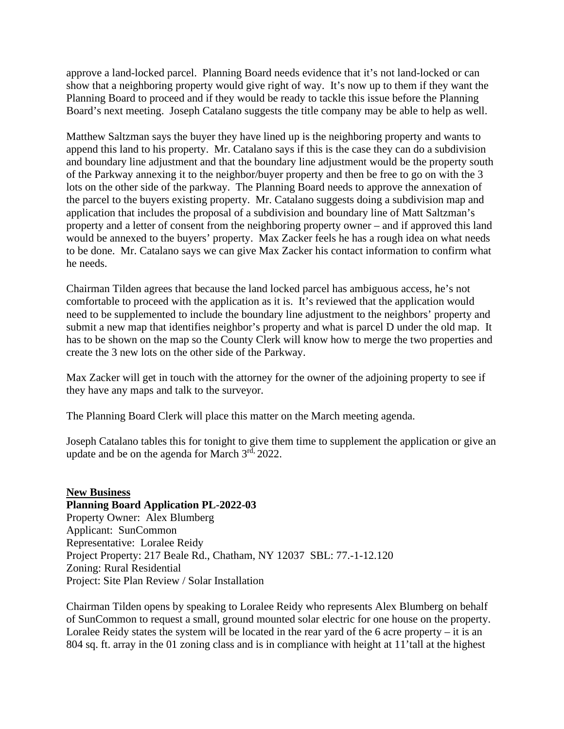approve a land-locked parcel. Planning Board needs evidence that it's not land-locked or can show that a neighboring property would give right of way. It's now up to them if they want the Planning Board to proceed and if they would be ready to tackle this issue before the Planning Board's next meeting. Joseph Catalano suggests the title company may be able to help as well.

Matthew Saltzman says the buyer they have lined up is the neighboring property and wants to append this land to his property. Mr. Catalano says if this is the case they can do a subdivision and boundary line adjustment and that the boundary line adjustment would be the property south of the Parkway annexing it to the neighbor/buyer property and then be free to go on with the 3 lots on the other side of the parkway. The Planning Board needs to approve the annexation of the parcel to the buyers existing property. Mr. Catalano suggests doing a subdivision map and application that includes the proposal of a subdivision and boundary line of Matt Saltzman's property and a letter of consent from the neighboring property owner – and if approved this land would be annexed to the buyers' property. Max Zacker feels he has a rough idea on what needs to be done. Mr. Catalano says we can give Max Zacker his contact information to confirm what he needs.

Chairman Tilden agrees that because the land locked parcel has ambiguous access, he's not comfortable to proceed with the application as it is. It's reviewed that the application would need to be supplemented to include the boundary line adjustment to the neighbors' property and submit a new map that identifies neighbor's property and what is parcel D under the old map. It has to be shown on the map so the County Clerk will know how to merge the two properties and create the 3 new lots on the other side of the Parkway.

Max Zacker will get in touch with the attorney for the owner of the adjoining property to see if they have any maps and talk to the surveyor.

The Planning Board Clerk will place this matter on the March meeting agenda.

Joseph Catalano tables this for tonight to give them time to supplement the application or give an update and be on the agenda for March 3rd, 2022.

## **New Business Planning Board Application PL-2022-03** Property Owner: Alex Blumberg Applicant: SunCommon Representative: Loralee Reidy Project Property: 217 Beale Rd., Chatham, NY 12037 SBL: 77.-1-12.120 Zoning: Rural Residential Project: Site Plan Review / Solar Installation

Chairman Tilden opens by speaking to Loralee Reidy who represents Alex Blumberg on behalf of SunCommon to request a small, ground mounted solar electric for one house on the property. Loralee Reidy states the system will be located in the rear yard of the 6 acre property – it is an 804 sq. ft. array in the 01 zoning class and is in compliance with height at 11'tall at the highest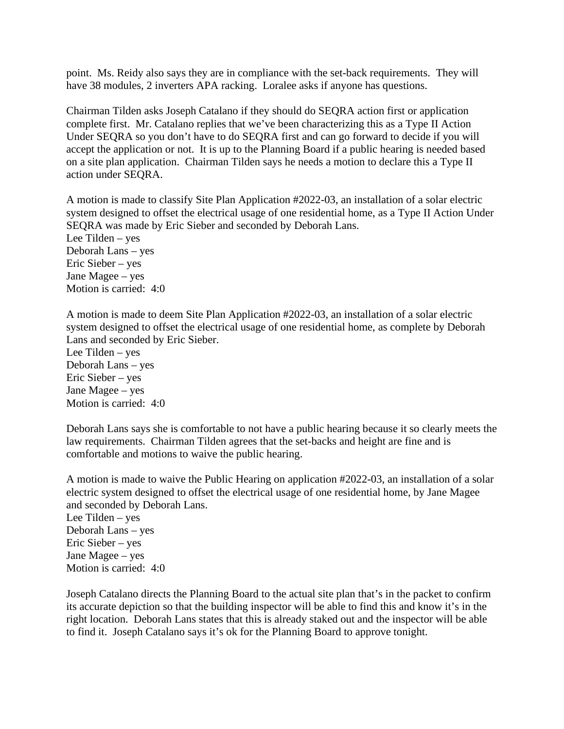point. Ms. Reidy also says they are in compliance with the set-back requirements. They will have 38 modules, 2 inverters APA racking. Loralee asks if anyone has questions.

Chairman Tilden asks Joseph Catalano if they should do SEQRA action first or application complete first. Mr. Catalano replies that we've been characterizing this as a Type II Action Under SEQRA so you don't have to do SEQRA first and can go forward to decide if you will accept the application or not. It is up to the Planning Board if a public hearing is needed based on a site plan application. Chairman Tilden says he needs a motion to declare this a Type II action under SEQRA.

A motion is made to classify Site Plan Application #2022-03, an installation of a solar electric system designed to offset the electrical usage of one residential home, as a Type II Action Under SEQRA was made by Eric Sieber and seconded by Deborah Lans. Lee Tilden – yes Deborah Lans – yes Eric Sieber – yes Jane Magee – yes Motion is carried: 4:0

A motion is made to deem Site Plan Application #2022-03, an installation of a solar electric system designed to offset the electrical usage of one residential home, as complete by Deborah Lans and seconded by Eric Sieber.

Lee Tilden – yes Deborah Lans – yes Eric Sieber – yes Jane Magee – yes Motion is carried: 4:0

Deborah Lans says she is comfortable to not have a public hearing because it so clearly meets the law requirements. Chairman Tilden agrees that the set-backs and height are fine and is comfortable and motions to waive the public hearing.

A motion is made to waive the Public Hearing on application #2022-03, an installation of a solar electric system designed to offset the electrical usage of one residential home, by Jane Magee and seconded by Deborah Lans.

Lee Tilden – yes Deborah Lans – yes Eric Sieber – yes Jane Magee – yes Motion is carried: 4:0

Joseph Catalano directs the Planning Board to the actual site plan that's in the packet to confirm its accurate depiction so that the building inspector will be able to find this and know it's in the right location. Deborah Lans states that this is already staked out and the inspector will be able to find it. Joseph Catalano says it's ok for the Planning Board to approve tonight.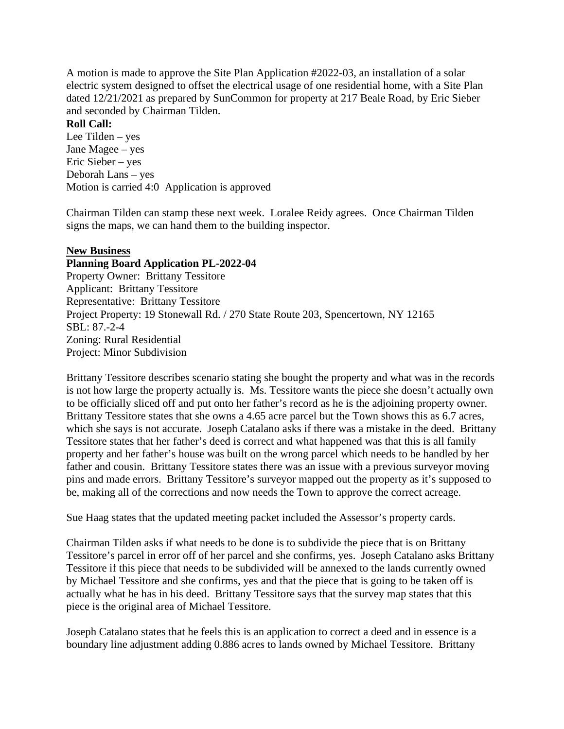A motion is made to approve the Site Plan Application #2022-03, an installation of a solar electric system designed to offset the electrical usage of one residential home, with a Site Plan dated 12/21/2021 as prepared by SunCommon for property at 217 Beale Road, by Eric Sieber and seconded by Chairman Tilden.

# **Roll Call:**

Lee Tilden – yes Jane Magee – yes Eric Sieber – yes Deborah Lans – yes Motion is carried 4:0 Application is approved

Chairman Tilden can stamp these next week. Loralee Reidy agrees. Once Chairman Tilden signs the maps, we can hand them to the building inspector.

#### **New Business**

#### **Planning Board Application PL-2022-04**

Property Owner: Brittany Tessitore Applicant: Brittany Tessitore Representative: Brittany Tessitore Project Property: 19 Stonewall Rd. / 270 State Route 203, Spencertown, NY 12165 SBL: 87.-2-4 Zoning: Rural Residential Project: Minor Subdivision

Brittany Tessitore describes scenario stating she bought the property and what was in the records is not how large the property actually is. Ms. Tessitore wants the piece she doesn't actually own to be officially sliced off and put onto her father's record as he is the adjoining property owner. Brittany Tessitore states that she owns a 4.65 acre parcel but the Town shows this as 6.7 acres, which she says is not accurate. Joseph Catalano asks if there was a mistake in the deed. Brittany Tessitore states that her father's deed is correct and what happened was that this is all family property and her father's house was built on the wrong parcel which needs to be handled by her father and cousin. Brittany Tessitore states there was an issue with a previous surveyor moving pins and made errors. Brittany Tessitore's surveyor mapped out the property as it's supposed to be, making all of the corrections and now needs the Town to approve the correct acreage.

Sue Haag states that the updated meeting packet included the Assessor's property cards.

Chairman Tilden asks if what needs to be done is to subdivide the piece that is on Brittany Tessitore's parcel in error off of her parcel and she confirms, yes. Joseph Catalano asks Brittany Tessitore if this piece that needs to be subdivided will be annexed to the lands currently owned by Michael Tessitore and she confirms, yes and that the piece that is going to be taken off is actually what he has in his deed. Brittany Tessitore says that the survey map states that this piece is the original area of Michael Tessitore.

Joseph Catalano states that he feels this is an application to correct a deed and in essence is a boundary line adjustment adding 0.886 acres to lands owned by Michael Tessitore. Brittany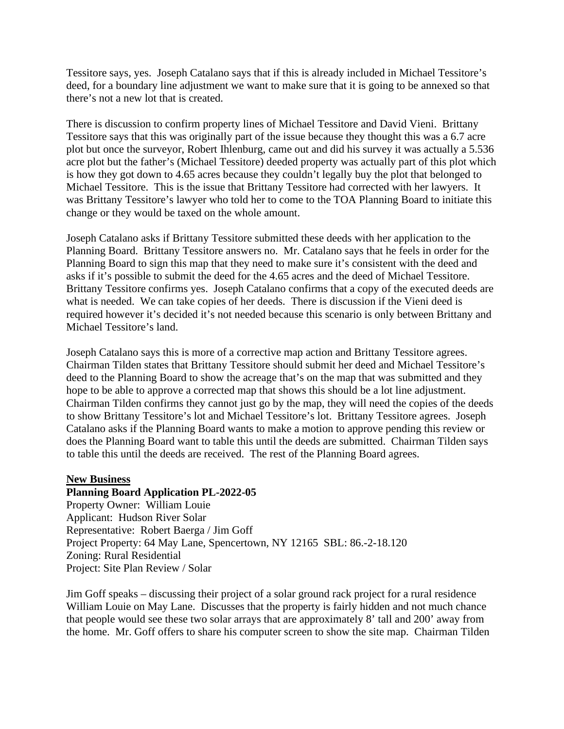Tessitore says, yes. Joseph Catalano says that if this is already included in Michael Tessitore's deed, for a boundary line adjustment we want to make sure that it is going to be annexed so that there's not a new lot that is created.

There is discussion to confirm property lines of Michael Tessitore and David Vieni. Brittany Tessitore says that this was originally part of the issue because they thought this was a 6.7 acre plot but once the surveyor, Robert Ihlenburg, came out and did his survey it was actually a 5.536 acre plot but the father's (Michael Tessitore) deeded property was actually part of this plot which is how they got down to 4.65 acres because they couldn't legally buy the plot that belonged to Michael Tessitore. This is the issue that Brittany Tessitore had corrected with her lawyers. It was Brittany Tessitore's lawyer who told her to come to the TOA Planning Board to initiate this change or they would be taxed on the whole amount.

Joseph Catalano asks if Brittany Tessitore submitted these deeds with her application to the Planning Board. Brittany Tessitore answers no. Mr. Catalano says that he feels in order for the Planning Board to sign this map that they need to make sure it's consistent with the deed and asks if it's possible to submit the deed for the 4.65 acres and the deed of Michael Tessitore. Brittany Tessitore confirms yes. Joseph Catalano confirms that a copy of the executed deeds are what is needed. We can take copies of her deeds. There is discussion if the Vieni deed is required however it's decided it's not needed because this scenario is only between Brittany and Michael Tessitore's land.

Joseph Catalano says this is more of a corrective map action and Brittany Tessitore agrees. Chairman Tilden states that Brittany Tessitore should submit her deed and Michael Tessitore's deed to the Planning Board to show the acreage that's on the map that was submitted and they hope to be able to approve a corrected map that shows this should be a lot line adjustment. Chairman Tilden confirms they cannot just go by the map, they will need the copies of the deeds to show Brittany Tessitore's lot and Michael Tessitore's lot. Brittany Tessitore agrees. Joseph Catalano asks if the Planning Board wants to make a motion to approve pending this review or does the Planning Board want to table this until the deeds are submitted. Chairman Tilden says to table this until the deeds are received. The rest of the Planning Board agrees.

#### **New Business**

#### **Planning Board Application PL-2022-05**

Property Owner: William Louie Applicant: Hudson River Solar Representative: Robert Baerga / Jim Goff Project Property: 64 May Lane, Spencertown, NY 12165 SBL: 86.-2-18.120 Zoning: Rural Residential Project: Site Plan Review / Solar

Jim Goff speaks – discussing their project of a solar ground rack project for a rural residence William Louie on May Lane. Discusses that the property is fairly hidden and not much chance that people would see these two solar arrays that are approximately 8' tall and 200' away from the home. Mr. Goff offers to share his computer screen to show the site map. Chairman Tilden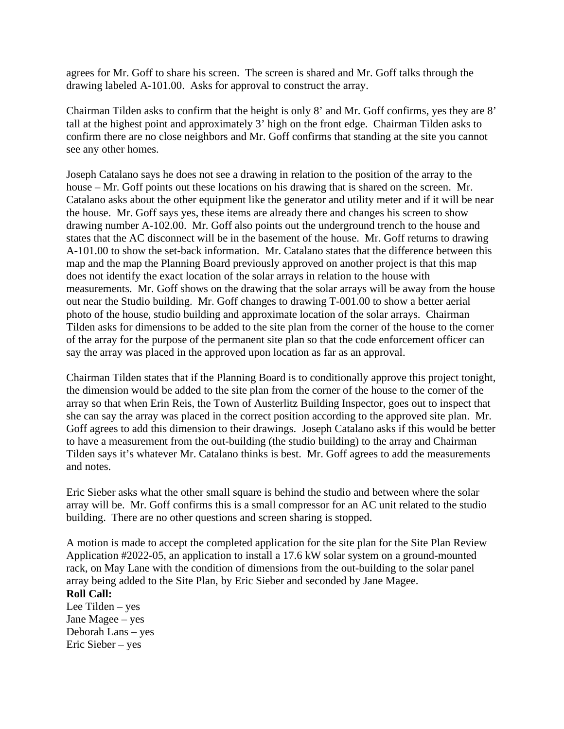agrees for Mr. Goff to share his screen. The screen is shared and Mr. Goff talks through the drawing labeled A-101.00. Asks for approval to construct the array.

Chairman Tilden asks to confirm that the height is only 8' and Mr. Goff confirms, yes they are 8' tall at the highest point and approximately 3' high on the front edge. Chairman Tilden asks to confirm there are no close neighbors and Mr. Goff confirms that standing at the site you cannot see any other homes.

Joseph Catalano says he does not see a drawing in relation to the position of the array to the house – Mr. Goff points out these locations on his drawing that is shared on the screen. Mr. Catalano asks about the other equipment like the generator and utility meter and if it will be near the house. Mr. Goff says yes, these items are already there and changes his screen to show drawing number A-102.00. Mr. Goff also points out the underground trench to the house and states that the AC disconnect will be in the basement of the house. Mr. Goff returns to drawing A-101.00 to show the set-back information. Mr. Catalano states that the difference between this map and the map the Planning Board previously approved on another project is that this map does not identify the exact location of the solar arrays in relation to the house with measurements. Mr. Goff shows on the drawing that the solar arrays will be away from the house out near the Studio building. Mr. Goff changes to drawing T-001.00 to show a better aerial photo of the house, studio building and approximate location of the solar arrays. Chairman Tilden asks for dimensions to be added to the site plan from the corner of the house to the corner of the array for the purpose of the permanent site plan so that the code enforcement officer can say the array was placed in the approved upon location as far as an approval.

Chairman Tilden states that if the Planning Board is to conditionally approve this project tonight, the dimension would be added to the site plan from the corner of the house to the corner of the array so that when Erin Reis, the Town of Austerlitz Building Inspector, goes out to inspect that she can say the array was placed in the correct position according to the approved site plan. Mr. Goff agrees to add this dimension to their drawings. Joseph Catalano asks if this would be better to have a measurement from the out-building (the studio building) to the array and Chairman Tilden says it's whatever Mr. Catalano thinks is best. Mr. Goff agrees to add the measurements and notes.

Eric Sieber asks what the other small square is behind the studio and between where the solar array will be. Mr. Goff confirms this is a small compressor for an AC unit related to the studio building. There are no other questions and screen sharing is stopped.

A motion is made to accept the completed application for the site plan for the Site Plan Review Application #2022-05, an application to install a 17.6 kW solar system on a ground-mounted rack, on May Lane with the condition of dimensions from the out-building to the solar panel array being added to the Site Plan, by Eric Sieber and seconded by Jane Magee. **Roll Call:**

Lee Tilden – yes Jane Magee – yes Deborah Lans – yes Eric Sieber – yes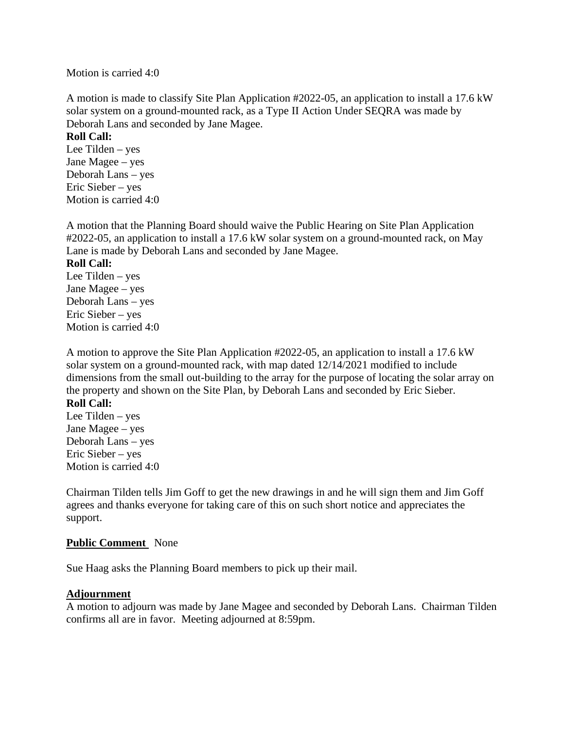Motion is carried 4:0

A motion is made to classify Site Plan Application #2022-05, an application to install a 17.6 kW solar system on a ground-mounted rack, as a Type II Action Under SEQRA was made by Deborah Lans and seconded by Jane Magee.

## **Roll Call:**

Lee Tilden – yes Jane Magee – yes Deborah Lans – yes Eric Sieber – yes Motion is carried 4:0

A motion that the Planning Board should waive the Public Hearing on Site Plan Application #2022-05, an application to install a 17.6 kW solar system on a ground-mounted rack, on May Lane is made by Deborah Lans and seconded by Jane Magee.

#### **Roll Call:**

Lee Tilden – yes Jane Magee – yes Deborah Lans – yes Eric Sieber – yes Motion is carried 4:0

A motion to approve the Site Plan Application #2022-05, an application to install a 17.6 kW solar system on a ground-mounted rack, with map dated 12/14/2021 modified to include dimensions from the small out-building to the array for the purpose of locating the solar array on the property and shown on the Site Plan, by Deborah Lans and seconded by Eric Sieber.

# **Roll Call:**

Lee Tilden – yes Jane Magee – yes Deborah Lans – yes Eric Sieber – yes Motion is carried 4:0

Chairman Tilden tells Jim Goff to get the new drawings in and he will sign them and Jim Goff agrees and thanks everyone for taking care of this on such short notice and appreciates the support.

#### **Public Comment** None

Sue Haag asks the Planning Board members to pick up their mail.

#### **Adjournment**

A motion to adjourn was made by Jane Magee and seconded by Deborah Lans. Chairman Tilden confirms all are in favor. Meeting adjourned at 8:59pm.